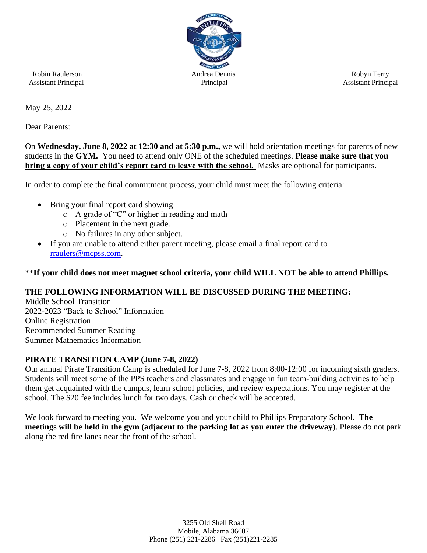

May 25, 2022

Dear Parents:

On **Wednesday, June 8, 2022 at 12:30 and at 5:30 p.m.,** we will hold orientation meetings for parents of new students in the **GYM.** You need to attend only ONE of the scheduled meetings. **Please make sure that you bring a copy of your child's report card to leave with the school.** Masks are optional for participants.

In order to complete the final commitment process, your child must meet the following criteria:

- Bring your final report card showing
	- o A grade of "C" or higher in reading and math
	- o Placement in the next grade.
	- o No failures in any other subject.
- If you are unable to attend either parent meeting, please email a final report card to [rraulers@mcpss.com.](mailto:rraulers@mcpss.com)

## \*\***If your child does not meet magnet school criteria, your child WILL NOT be able to attend Phillips.**

## **THE FOLLOWING INFORMATION WILL BE DISCUSSED DURING THE MEETING:**

Middle School Transition 2022-2023 "Back to School" Information Online Registration Recommended Summer Reading Summer Mathematics Information

#### **PIRATE TRANSITION CAMP (June 7-8, 2022)**

Our annual Pirate Transition Camp is scheduled for June 7-8, 2022 from 8:00-12:00 for incoming sixth graders. Students will meet some of the PPS teachers and classmates and engage in fun team-building activities to help them get acquainted with the campus, learn school policies, and review expectations. You may register at the school. The \$20 fee includes lunch for two days. Cash or check will be accepted.

We look forward to meeting you. We welcome you and your child to Phillips Preparatory School. **The meetings will be held in the gym (adjacent to the parking lot as you enter the driveway)**. Please do not park along the red fire lanes near the front of the school.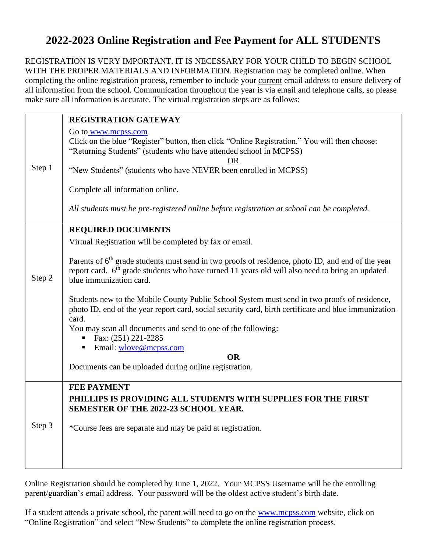# **2022-2023 Online Registration and Fee Payment for ALL STUDENTS**

REGISTRATION IS VERY IMPORTANT. IT IS NECESSARY FOR YOUR CHILD TO BEGIN SCHOOL WITH THE PROPER MATERIALS AND INFORMATION. Registration may be completed online. When completing the online registration process, remember to include your current email address to ensure delivery of all information from the school. Communication throughout the year is via email and telephone calls, so please make sure all information is accurate. The virtual registration steps are as follows:

|           | <b>REGISTRATION GATEWAY</b>                                                                                                                                                                                                                             |  |  |
|-----------|---------------------------------------------------------------------------------------------------------------------------------------------------------------------------------------------------------------------------------------------------------|--|--|
| Step 1    | Go to www.mcpss.com<br>Click on the blue "Register" button, then click "Online Registration." You will then choose:<br>"Returning Students" (students who have attended school in MCPSS)<br><b>OR</b>                                                   |  |  |
|           | "New Students" (students who have NEVER been enrolled in MCPSS)                                                                                                                                                                                         |  |  |
|           | Complete all information online.                                                                                                                                                                                                                        |  |  |
|           | All students must be pre-registered online before registration at school can be completed.                                                                                                                                                              |  |  |
|           | <b>REQUIRED DOCUMENTS</b>                                                                                                                                                                                                                               |  |  |
| Step 2    | Virtual Registration will be completed by fax or email.                                                                                                                                                                                                 |  |  |
|           | Parents of 6 <sup>th</sup> grade students must send in two proofs of residence, photo ID, and end of the year<br>report card. 6 <sup>th</sup> grade students who have turned 11 years old will also need to bring an updated<br>blue immunization card. |  |  |
|           | Students new to the Mobile County Public School System must send in two proofs of residence,<br>photo ID, end of the year report card, social security card, birth certificate and blue immunization<br>card.                                           |  |  |
|           | You may scan all documents and send to one of the following:                                                                                                                                                                                            |  |  |
|           | Fax: (251) 221-2285<br>Email: wlove@mcpss.com                                                                                                                                                                                                           |  |  |
| <b>OR</b> |                                                                                                                                                                                                                                                         |  |  |
|           | Documents can be uploaded during online registration.                                                                                                                                                                                                   |  |  |
|           | <b>FEE PAYMENT</b>                                                                                                                                                                                                                                      |  |  |
| Step 3    | PHILLIPS IS PROVIDING ALL STUDENTS WITH SUPPLIES FOR THE FIRST<br>SEMESTER OF THE 2022-23 SCHOOL YEAR.                                                                                                                                                  |  |  |
|           | *Course fees are separate and may be paid at registration.                                                                                                                                                                                              |  |  |
|           |                                                                                                                                                                                                                                                         |  |  |
|           |                                                                                                                                                                                                                                                         |  |  |

Online Registration should be completed by June 1, 2022. Your MCPSS Username will be the enrolling parent/guardian's email address. Your password will be the oldest active student's birth date.

If a student attends a private school, the parent will need to go on the [www.mcpss.com](http://www.mcpss.com/) website, click on "Online Registration" and select "New Students" to complete the online registration process.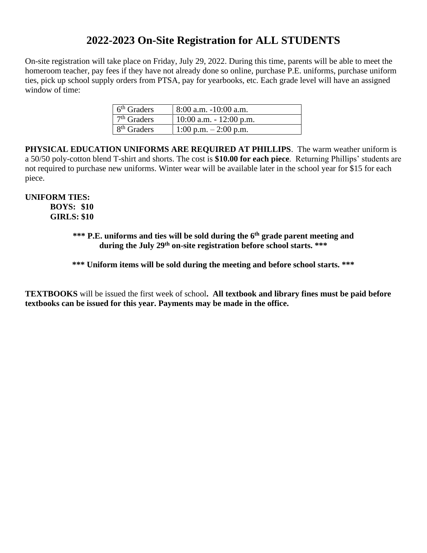## **2022-2023 On-Site Registration for ALL STUDENTS**

On-site registration will take place on Friday, July 29, 2022. During this time, parents will be able to meet the homeroom teacher, pay fees if they have not already done so online, purchase P.E. uniforms, purchase uniform ties, pick up school supply orders from PTSA, pay for yearbooks, etc. Each grade level will have an assigned window of time:

| 6 <sup>th</sup> Graders | $8:00$ a.m. $-10:00$ a.m.  |
|-------------------------|----------------------------|
| $7th$ Graders           | $10:00$ a.m. $-12:00$ p.m. |
| $8th$ Graders           | 1:00 p.m. $-2:00$ p.m.     |

**PHYSICAL EDUCATION UNIFORMS ARE REQUIRED AT PHILLIPS**. The warm weather uniform is a 50/50 poly-cotton blend T-shirt and shorts. The cost is **\$10.00 for each piece**. Returning Phillips' students are not required to purchase new uniforms. Winter wear will be available later in the school year for \$15 for each piece.

#### **UNIFORM TIES: BOYS: \$10 GIRLS: \$10**

## **\*\*\* P.E. uniforms and ties will be sold during the 6 th grade parent meeting and during the July 29th on-site registration before school starts. \*\*\***

**\*\*\* Uniform items will be sold during the meeting and before school starts. \*\*\***

**TEXTBOOKS** will be issued the first week of school**. All textbook and library fines must be paid before textbooks can be issued for this year. Payments may be made in the office.**